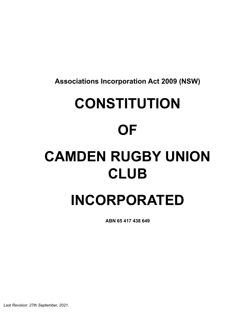**Associations Incorporation Act 2009 (NSW)**

# **CONSTITUTION**

# **OF**

# **CAMDEN RUGBY UNION CLUB**

# **INCORPORATED**

**ABN 65 417 438 649**

*Last Revision: 27th September, 2021.*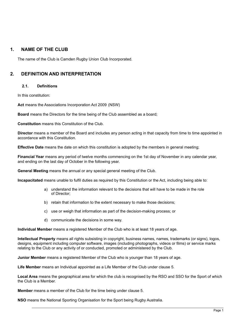# **1. NAME OF THE CLUB**

The name of the Club is Camden Rugby Union Club Incorporated.

# **2. DEFINITION AND INTERPRETATION**

#### **2.1. Definitions**

In this constitution:

**Act** means the Associations Incorporation Act 2009 (NSW)

**Board** means the Directors for the time being of the Club assembled as a board;

**Constitution** means this Constitution of the Club.

**Director** means a member of the Board and includes any person acting in that capacity from time to time appointed in accordance with this Constitution.

**Effective Date** means the date on which this constitution is adopted by the members in general meeting;

**Financial Year** means any period of twelve months commencing on the 1st day of November in any calendar year, and ending on the last day of October in the following year.

**General Meeting** means the annual or any special general meeting of the Club.

**Incapacitated** means unable to fulfil duties as required by this Constitution or the Act, including being able to:

- a) understand the information relevant to the decisions that will have to be made in the role of Director;
- b) retain that information to the extent necessary to make those decisions;
- c) use or weigh that information as part of the decision-making process; or
- d) communicate the decisions in some way.

**Individual Member** means a registered Member of the Club who is at least 18 years of age.

**Intellectual Property** means all rights subsisting in copyright, business names, names, trademarks (or signs), logos, designs, equipment including computer software, images (including photographs, videos or films) or service marks relating to the Club or any activity of or conducted, promoted or administered by the Club.

**Junior Member** means a registered Member of the Club who is younger than 18 years of age.

**Life Member** means an Individual appointed as a Life Member of the Club under clause 5.

**Local Area** means the geographical area for which the club is recognised by the RSO and SSO for the Sport of which the Club is a Member.

**Member** means a member of the Club for the time being under clause 5.

**NSO** means the National Sporting Organisation for the Sport being Rugby Australia.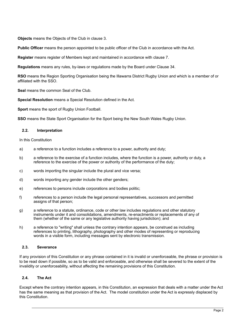**Objects** means the Objects of the Club in clause 3.

**Public Officer** means the person appointed to be public officer of the Club in accordance with the Act.

**Register** means register of Members kept and maintained in accordance with clause 7.

**Regulations** means any rules, by-laws or regulations made by the Board under Clause 34.

**RSO** means the Region Sporting Organisation being the Illawarra District Rugby Union and which is a member of or affiliated with the SSO.

**Seal** means the common Seal of the Club.

**Special Resolution** means a Special Resolution defined in the Act.

**Sport** means the sport of Rugby Union Football.

**SSO** means the State Sport Organisation for the Sport being the New South Wales Rugby Union.

#### **2.2. Interpretation**

In this Constitution

- a) a reference to a function includes a reference to a power, authority and duty;
- b) a reference to the exercise of a function includes, where the function is a power, authority or duty, a reference to the exercise of the power or authority of the performance of the duty;
- c) words importing the singular include the plural and vice versa;
- d) words importing any gender include the other genders;
- e) references to persons include corporations and bodies politic;
- f) references to a person include the legal personal representatives, successors and permitted assigns of that person:
- g) a reference to a statute, ordinance, code or other law includes regulations and other statutory instruments under it and consolidations, amendments, re-enactments or replacements of any of them (whether of the same or any legislative authority having jurisdiction); and
- h) a reference to "writing" shall unless the contrary intention appears, be construed as including references to printing, lithography, photography and other modes of representing or reproducing words in a visible form, including messages sent by electronic transmission.

#### **2.3. Severance**

If any provision of this Constitution or any phrase contained in it is invalid or unenforceable, the phrase or provision is to be read down if possible, so as to be valid and enforceable, and otherwise shall be severed to the extent of the invalidity or unenforceability, without affecting the remaining provisions of this Constitution.

#### **2.4. The Act**

Except where the contrary intention appears, in this Constitution, an expression that deals with a matter under the Act has the same meaning as that provision of the Act. The model constitution under the Act is expressly displaced by this Constitution.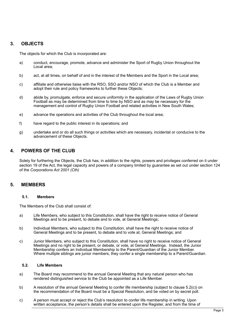# **3. OBJECTS**

The objects for which the Club is incorporated are:

- a) conduct, encourage, promote, advance and administer the Sport of Rugby Union throughout the Local area;
- b) act, at all times, on behalf of and in the interest of the Members and the Sport in the Local area;
- c) affiliate and otherwise liaise with the RSO, SSO and/or NSO of which the Club is a Member and adopt their rule and policy frameworks to further these Objects;
- d) abide by, promulgate, enforce and secure uniformity in the application of the Laws of Rugby Union Football as may be determined from time to time by NSO and as may be necessary for the management and control of Rugby Union Football and related activities in New South Wales;
- e) advance the operations and activities of the Club throughout the local area;
- f) have regard to the public interest in its operations; and
- g) undertake and or do all such things or activities which are necessary, incidental or conducive to the advancement of these Objects.

# **4. POWERS OF THE CLUB**

Solely for furthering the Objects, the Club has, in addition to the rights, powers and privileges conferred on it under section 19 of the Act, the legal capacity and powers of a company limited by guarantee as set out under section 124 of the *Corporations Act 2001 (Cth)*

#### **5. MEMBERS**

#### **5.1. Members**

The Members of the Club shall consist of:

- a) Life Members, who subject to this Constitution, shall have the right to receive notice of General Meetings and to be present, to debate and to vote, at General Meetings;
- b) Individual Members, who subject to this Constitution, shall have the right to receive notice of General Meetings and to be present, to debate and to vote at, General Meetings; and
- c) Junior Members, who subject to this Constitution, shall have no right to receive notice of General Meetings and no right to be present, or debate, or vote, at General Meetings. Instead, the Junior Membership confers an Individual Membership to the Parent/Guardian of the Junior Member. Where multiple siblings are junior members, they confer a single membership to a Parent/Guardian.

#### **5.2. Life Members**

- a) The Board may recommend to the annual General Meeting that any natural person who has rendered distinguished service to the Club be appointed as a Life Member.
- b) A resolution of the annual General Meeting to confer life membership (subject to clause 5.2(c)) on the recommendation of the Board must be a Special Resolution, and be voted on by secret poll.
- c) A person must accept or reject the Club's resolution to confer life membership in writing. Upon written acceptance, the person's details shall be entered upon the Register, and from the time of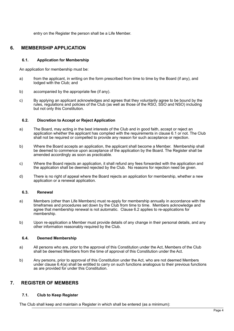entry on the Register the person shall be a Life Member.

# **6. MEMBERSHIP APPLICATION**

#### **6.1. Application for Membership**

An application for membership must be:

- a) from the applicant, in writing on the form prescribed from time to time by the Board (if any), and lodged with the Club; and
- b) accompanied by the appropriate fee (if any).
- c) By applying an applicant acknowledges and agrees that they voluntarily agree to be bound by the rules, regulations and policies of the Club (as well as those of the RSO, SSO and NSO) including but not only this Constitution.

#### **6.2. Discretion to Accept or Reject Application**

- a) The Board, may acting in the best interests of the Club and in good faith, accept or reject an application whether the applicant has complied with the requirements in clause 6.1 or not. The Club shall not be required or compelled to provide any reason for such acceptance or rejection.
- b) Where the Board accepts an application, the applicant shall become a Member. Membership shall be deemed to commence upon acceptance of the application by the Board. The Register shall be amended accordingly as soon as practicable.
- c) Where the Board rejects an application, it shall refund any fees forwarded with the application and the application shall be deemed rejected by the Club. No reasons for rejection need be given.
- d) There is no right of appeal where the Board rejects an application for membership, whether a new application or a renewal application.

#### **6.3. Renewal**

- a) Members (other than Life Members) must re-apply for membership annually in accordance with the timeframes and procedures set down by the Club from time to time. Members acknowledge and agree that membership renewal is not automatic. Clause 6.2 applies to re-applications for membership.
- b) Upon re-application a Member must provide details of any change in their personal details, and any other information reasonably required by the Club.

#### **6.4. Deemed Membership**

- a) All persons who are, prior to the approval of this Constitution under the Act, Members of the Club shall be deemed Members from the time of approval of this Constitution under the Act.
- b) Any persons, prior to approval of this Constitution under the Act, who are not deemed Members under clause 6.4(a) shall be entitled to carry on such functions analogous to their previous functions as are provided for under this Constitution.

# **7. REGISTER OF MEMBERS**

#### **7.1. Club to Keep Register**

The Club shall keep and maintain a Register in which shall be entered (as a minimum):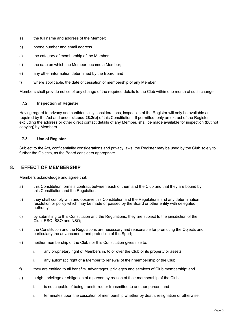- a) the full name and address of the Member;
- b) phone number and email address
- c) the category of membership of the Member;
- d) the date on which the Member became a Member;
- e) any other information determined by the Board; and
- f) where applicable, the date of cessation of membership of any Member.

Members shall provide notice of any change of the required details to the Club within one month of such change.

#### **7.2. Inspection of Register**

Having regard to privacy and confidentiality considerations, inspection of the Register will only be available as required by the Act and under **clause 28.2(b)** of this Constitution. If permitted, only an extract of the Register, excluding the address or other direct contact details of any Member, shall be made available for inspection (but not copying) by Members.

#### **7.3. Use of Register**

Subject to the Act, confidentiality considerations and privacy laws, the Register may be used by the Club solely to further the Objects, as the Board considers appropriate

# **8. EFFECT OF MEMBERSHIP**

Members acknowledge and agree that:

- a) this Constitution forms a contract between each of them and the Club and that they are bound by this Constitution and the Regulations.
- b) they shall comply with and observe this Constitution and the Regulations and any determination, resolution or policy which may be made or passed by the Board or other entity with delegated authority;
- c) by submitting to this Constitution and the Regulations, they are subject to the jurisdiction of the Club, RSO, SSO and NSO;
- d) the Constitution and the Regulations are necessary and reasonable for promoting the Objects and particularly the advancement and protection of the Sport;
- e) neither membership of the Club nor this Constitution gives rise to:
	- i. any proprietary right of Members in, to or over the Club or its property or assets;
	- ii. any automatic right of a Member to renewal of their membership of the Club;
- f) they are entitled to all benefits, advantages, privileges and services of Club membership; and
- g) a right, privilege or obligation of a person by reason of their membership of the Club:
	- i. is not capable of being transferred or transmitted to another person; and
	- ii. terminates upon the cessation of membership whether by death, resignation or otherwise.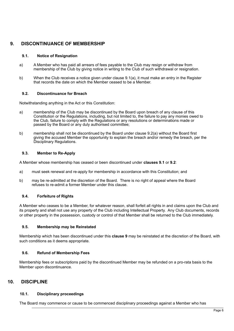# **9. DISCONTINUANCE OF MEMBERSHIP**

#### **9.1. Notice of Resignation**

- a) A Member who has paid all arrears of fees payable to the Club may resign or withdraw from membership of the Club by giving notice in writing to the Club of such withdrawal or resignation.
- b) When the Club receives a notice given under clause 9.1(a), it must make an entry in the Register that records the date on which the Member ceased to be a Member.

#### **9.2. Discontinuance for Breach**

Notwithstanding anything in the Act or this Constitution:

- a) membership of the Club may be discontinued by the Board upon breach of any clause of this Constitution or the Regulations, including, but not limited to, the failure to pay any monies owed to the Club, failure to comply with the Regulations or any resolutions or determinations made or passed by the Board or any duly authorised committee;
- b) membership shall not be discontinued by the Board under clause 9.2(a) without the Board first giving the accused Member the opportunity to explain the breach and/or remedy the breach, per the Disciplinary Regulations.

#### **9.3. Member to Re-Apply**

A Member whose membership has ceased or been discontinued under **clauses 9.1** or **9.2**:

- a) must seek renewal and re-apply for membership in accordance with this Constitution; and
- b) may be re-admitted at the discretion of the Board. There is no right of appeal where the Board refuses to re-admit a former Member under this clause.

#### **9.4. Forfeiture of Rights**

A Member who ceases to be a Member, for whatever reason, shall forfeit all rights in and claims upon the Club and its property and shall not use any property of the Club including Intellectual Property. Any Club documents, records or other property in the possession, custody or control of that Member shall be returned to the Club immediately.

#### **9.5. Membership may be Reinstated**

Membership which has been discontinued under this **clause 9** may be reinstated at the discretion of the Board, with such conditions as it deems appropriate.

#### **9.6. Refund of Membership Fees**

Membership fees or subscriptions paid by the discontinued Member may be refunded on a pro-rata basis to the Member upon discontinuance.

# **10. DISCIPLINE**

#### **10.1. Disciplinary proceedings**

The Board may commence or cause to be commenced disciplinary proceedings against a Member who has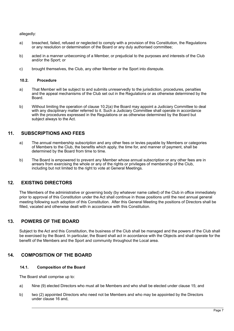allegedly:

- a) breached, failed, refused or neglected to comply with a provision of this Constitution, the Regulations or any resolution or determination of the Board or any duly authorised committee;
- b) acted in a manner unbecoming of a Member, or prejudicial to the purposes and interests of the Club and/or the Sport; or
- c) brought themselves, the Club, any other Member or the Sport into disrepute.

#### **10.2. Procedure**

- a) That Member will be subject to and submits unreservedly to the jurisdiction, procedures, penalties and the appeal mechanisms of the Club set out in the Regulations or as otherwise determined by the Board.
- b) Without limiting the operation of clause 10.2(a) the Board may appoint a Judiciary Committee to deal with any disciplinary matter referred to it. Such a Judiciary Committee shall operate in accordance with the procedures expressed in the Regulations or as otherwise determined by the Board but subject always to the Act.

# **11. SUBSCRIPTIONS AND FEES**

- a) The annual membership subscription and any other fees or levies payable by Members or categories of Members to the Club, the benefits which apply, the time for, and manner of payment, shall be determined by the Board from time to time.
- b) The Board is empowered to prevent any Member whose annual subscription or any other fees are in arrears from exercising the whole or any of the rights or privileges of membership of the Club, including but not limited to the right to vote at General Meetings.

# **12. EXISTING DIRECTORS**

The Members of the administrative or governing body (by whatever name called) of the Club in office immediately prior to approval of this Constitution under the Act shall continue in those positions until the next annual general meeting following such adoption of this Constitution. After this General Meeting the positions of Directors shall be filled, vacated and otherwise dealt with in accordance with this Constitution.

# **13. POWERS OF THE BOARD**

Subject to the Act and this Constitution, the business of the Club shall be managed and the powers of the Club shall be exercised by the Board. In particular, the Board shall act in accordance with the Objects and shall operate for the benefit of the Members and the Sport and community throughout the Local area.

# **14. COMPOSITION OF THE BOARD**

#### **14.1. Composition of the Board**

The Board shall comprise up to:

- a) Nine (9) elected Directors who must all be Members and who shall be elected under clause 15; and
- b) two (2) appointed Directors who need not be Members and who may be appointed by the Directors under clause 16 and,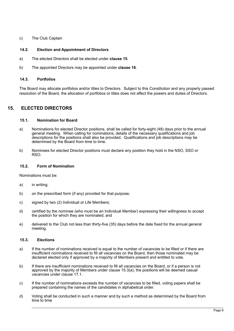#### c) The Club Captain

#### **14.2. Election and Appointment of Directors**

- a) The elected Directors shall be elected under **clause 15**.
- b) The appointed Directors may be appointed under **clause 16**.

#### **14.3. Portfolios**

The Board may allocate portfolios and/or titles to Directors. Subject to this Constitution and any properly passed resolution of the Board, the allocation of portfolios or titles does not affect the powers and duties of Directors.

# **15. ELECTED DIRECTORS**

#### **15.1. Nomination for Board**

- a) Nominations for elected Director positions, shall be called for forty-eight (48) days prior to the annual general meeting. When calling for nominations, details of the necessary qualifications and job descriptions for the positions shall also be provided. Qualifications and job descriptions may be determined by the Board from time to time.
- b) Nominees for elected Director positions must declare any position they hold in the NSO, SSO or RSO.

#### **15.2. Form of Nomination**

Nominations must be:

- a) in writing;
- b) on the prescribed form (if any) provided for that purpose;
- c) signed by two (2) Individual or Life Members;
- d) certified by the nominee (who must be an Individual Member) expressing their willingness to accept the position for which they are nominated; and
- e) delivered to the Club not less than thirty-five (35) days before the date fixed for the annual general meeting.

#### **15.3. Elections**

- a) If the number of nominations received is equal to the number of vacancies to be filled or if there are insufficient nominations received to fill all vacancies on the Board, then those nominated may be declared elected only if approved by a majority of Members present and entitled to vote.
- b) If there are insufficient nominations received to fill all vacancies on the Board, or if a person is not approved by the majority of Members under clause 15.3(a), the positions will be deemed casual vacancies under clause 17.1.
- c) If the number of nominations exceeds the number of vacancies to be filled, voting papers shall be prepared containing the names of the candidates in alphabetical order.
- d) Voting shall be conducted in such a manner and by such a method as determined by the Board from time to time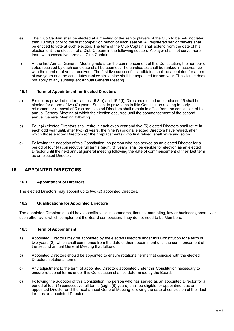- e) The Club Captain shall be elected at a meeting of the senior players of the Club to be held not later than 10 days prior to the first competition match of each season. All registered senior players shall be entitled to vote at such election. The term of the Club Captain shall extend from the date of his election until the election of a Club Captain in the following season. A player shall not serve more than two consecutive terms as Club Captain.
- f) At the first Annual General Meeting held after the commencement of this Constitution, the number of votes received by each candidate shall be counted. The candidates shall be ranked in accordance with the number of votes received. The first five successful candidates shall be appointed for a term of two years and the candidates ranked six to nine shall be appointed for one year. This clause does not apply to any subsequent Annual General Meeting.

#### **15.4. Term of Appointment for Elected Directors**

- a) Except as provided under clauses 15.3(e) and 15.2(f), Directors elected under clause 15 shall be elected for a term of two (2) years. Subject to provisions in this Constitution relating to early retirement or removal of Directors, elected Directors shall remain in office from the conclusion of the annual General Meeting at which the election occurred until the commencement of the second annual General Meeting following.
- b) Four (4) elected Directors shall retire in each even year and five (5) elected Directors shall retire in each odd year until, after two (2) years, the nine (9) original elected Directors have retired, after which those elected Directors (or their replacements) who first retired, shall retire and so on.
- c) Following the adoption of this Constitution, no person who has served as an elected Director for a period of four (4) consecutive full terms (eight (8) years) shall be eligible for election as an elected Director until the next annual general meeting following the date of commencement of their last term as an elected Director.

# **16. APPOINTED DIRECTORS**

#### **16.1. Appointment of Directors**

The elected Directors may appoint up to two (2) appointed Directors.

#### **16.2. Qualifications for Appointed Directors**

The appointed Directors should have specific skills in commerce, finance, marketing, law or business generally or such other skills which complement the Board composition. They do not need to be Members.

#### **16.3. Term of Appointment**

- a) Appointed Directors may be appointed by the elected Directors under this Constitution for a term of two vears (2), which shall commence from the date of their appointment until the commencement of the second annual General Meeting that follows.
- b) Appointed Directors should be appointed to ensure rotational terms that coincide with the elected Directors' rotational terms.
- c) Any adjustment to the term of appointed Directors appointed under this Constitution necessary to ensure rotational terms under this Constitution shall be determined by the Board.
- d) Following the adoption of this Constitution, no person who has served as an appointed Director for a period of four (4) consecutive full terms (eight (8) years) shall be eligible for appointment as an appointed Director until the next annual General Meeting following the date of conclusion of their last term as an appointed Director.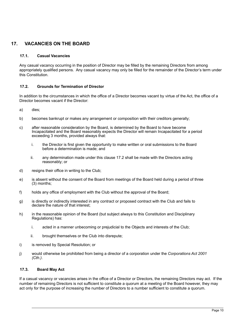# **17. VACANCIES ON THE BOARD**

#### **17.1. Casual Vacancies**

Any casual vacancy occurring in the position of Director may be filled by the remaining Directors from among appropriately qualified persons. Any casual vacancy may only be filled for the remainder of the Director's term under this Constitution.

#### **17.2. Grounds for Termination of Director**

In addition to the circumstances in which the office of a Director becomes vacant by virtue of the Act, the office of a Director becomes vacant if the Director:

- a) dies;
- b) becomes bankrupt or makes any arrangement or composition with their creditors generally;
- c) after reasonable consideration by the Board, is determined by the Board to have become Incapacitated and the Board reasonably expects the Director will remain Incapacitated for a period exceeding 3 months, provided always that:
	- i. the Director is first given the opportunity to make written or oral submissions to the Board before a determination is made; and
	- ii. any determination made under this clause 17.2 shall be made with the Directors acting reasonably; or
- d) resigns their office in writing to the Club;
- e) is absent without the consent of the Board from meetings of the Board held during a period of three (3) months;
- f) holds any office of employment with the Club without the approval of the Board;
- g) is directly or indirectly interested in any contract or proposed contract with the Club and fails to declare the nature of that interest;
- h) in the reasonable opinion of the Board (but subject always to this Constitution and Disciplinary Regulations) has:
	- i. acted in a manner unbecoming or prejudicial to the Objects and interests of the Club;
	- ii. brought themselves or the Club into disrepute;
- i) is removed by Special Resolution; or
- j) would otherwise be prohibited from being a director of a corporation under the *Corporations Act 2001 (Cth.)*.

#### **17.3. Board May Act**

If a casual vacancy or vacancies arises in the office of a Director or Directors, the remaining Directors may act. If the number of remaining Directors is not sufficient to constitute a quorum at a meeting of the Board however, they may act only for the purpose of increasing the number of Directors to a number sufficient to constitute a quorum.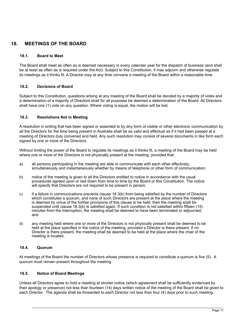# **18. MEETINGS OF THE BOARD**

#### **18.1. Board to Meet**

The Board shall meet as often as is deemed necessary in every calendar year for the dispatch of business (and shall be at least as often as is required under the Act). Subject to this Constitution, it may adjourn and otherwise regulate its meetings as it thinks fit. A Director may at any time convene a meeting of the Board within a reasonable time.

#### **18.2. Decisions of Board**

Subject to this Constitution, questions arising at any meeting of the Board shall be decided by a majority of votes and a determination of a majority of Directors shall for all purposes be deemed a determination of the Board. All Directors shall have one (1) vote on any question. Where voting is equal, the motion will be lost.

#### **18.3. Resolutions Not in Meeting**

A resolution in writing that has been signed or assented to by any form of visible or other electronic communication by all the Directors for the time being present in Australia shall be as valid and effectual as if it had been passed at a meeting of Directors duly convened and held. Any such resolution may consist of several documents in like form each signed by one or more of the Directors.

Without limiting the power of the Board to regulate its meetings as it thinks fit, a meeting of the Board may be held where one or more of the Directors is not physically present at the meeting, provided that:

- a) all persons participating in the meeting are able to communicate with each other effectively, simultaneously and instantaneously whether by means of telephone or other form of communication;
- b) notice of the meeting is given to all the Directors entitled to notice in accordance with the usual procedures agreed upon or laid down from time to time by the Board or this Constitution. The notice will specify that Directors are not required to be present in person:
- c) if a failure in communications prevents clause 18.3(b) from being satisfied by the number of Directors which constitutes a quorum, and none of such Directors are present at the place where the meeting is deemed by virtue of the further provisions of this clause to be held, then the meeting shall be suspended until clause 18.3(b) is satisfied again. If such condition is not satisfied within fifteen (15) minutes from the interruption, the meeting shall be deemed to have been terminated or adjourned; and
- d) any meeting held where one or more of the Directors is not physically present shall be deemed to be held at the place specified in the notice of the meeting, provided a Director is there present. If no Director is there present, the meeting shall be deemed to be held at the place where the chair of the meeting is located.

#### **18.4. Quorum**

At meetings of the Board the number of Directors whose presence is required to constitute a quorum is five (5). A quorum must remain present throughout the meeting.

#### **18.5. Notice of Board Meetings**

Unless all Directors agree to hold a meeting at shorter notice (which agreement shall be sufficiently evidenced by their apology or presence) not less than fourteen (14) days written notice of the meeting of the Board shall be given to each Director. The agenda shall be forwarded to each Director not less than four (4) days prior to such meeting.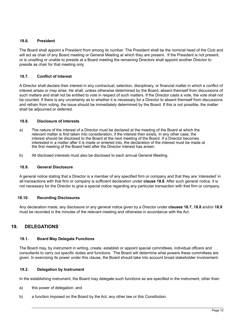#### **18.6. President**

The Board shall appoint a President from among its number. The President shall be the nominal head of the Club and will act as chair of any Board meeting or General Meeting at which they are present. If the President is not present, or is unwilling or unable to preside at a Board meeting the remaining Directors shall appoint another Director to preside as chair for that meeting only.

#### **18.7. Conflict of Interest**

A Director shall declare their interest in any contractual, selection, disciplinary, or financial matter in which a conflict of interest arises or may arise. He shall, unless otherwise determined by the Board, absent themself from discussions of such matters and shall not be entitled to vote in respect of such matters. If the Director casts a vote, the vote shall not be counted. If there is any uncertainty as to whether it is necessary for a Director to absent themself from discussions and refrain from voting, the issue should be immediately determined by the Board. If this is not possible, the matter shall be adjourned or deferred.

#### **18.8. Disclosure of Interests**

- a) The nature of the interest of a Director must be declared at the meeting of the Board at which the relevant matter is first taken into consideration, if the interest then exists. In any other case, the interest should be disclosed to the Board at the next meeting of the Board. If a Director becomes interested in a matter after it is made or entered into, the declaration of the interest must be made at the first meeting of the Board held after the Director interest has arisen.
- b) All disclosed interests must also be disclosed to each annual General Meeting.

#### **18.9. General Disclosure**

A general notice stating that a Director is a member of any specified firm or company and that they are 'interested' in all transactions with that firm or company is sufficient declaration under **clause 18.8**. After such general notice, it is not necessary for the Director to give a special notice regarding any particular transaction with that firm or company.

#### **18.10. Recording Disclosures**

Any declaration made, any disclosure or any general notice given by a Director under **clauses 18.7, 18.8** and/or **18.9** must be recorded in the minutes of the relevant meeting and otherwise in accordance with the Act.

# **19. DELEGATIONS**

#### **19.1. Board May Delegate Functions**

The Board may, by instrument in writing, create, establish or appoint special committees, individual officers and consultants to carry out specific duties and functions. The Board will determine what powers these committees are given. In exercising its power under this clause, the Board should take into account broad stakeholder involvement.

#### **19.2. Delegation by Instrument**

In the establishing instrument, the Board may delegate such functions as are specified in the instrument, other than:

- a) this power of delegation; and
- b) a function imposed on the Board by the Act, any other law or this Constitution.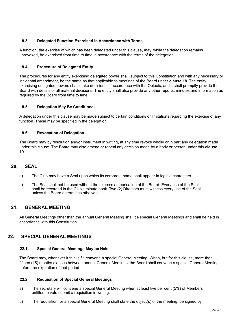#### **19.3. Delegated Function Exercised in Accordance with Terms**

A function, the exercise of which has been delegated under this clause, may, while the delegation remains unrevoked, be exercised from time to time in accordance with the terms of the delegation.

### **19.4. Procedure of Delegated Entity**

The procedures for any entity exercising delegated power shall, subject to this Constitution and with any necessary or incidental amendment, be the same as that applicable to meetings of the Board under **clause 18**. The entity exercising delegated powers shall make decisions in accordance with the Objects, and it shall promptly provide the Board with details of all material decisions. The entity shall also provide any other reports, minutes and information as required by the Board from time to time.

# **19.5. Delegation May Be Conditional**

A delegation under this clause may be made subject to certain conditions or limitations regarding the exercise of any function. These may be specified in the delegation.

#### **19.6. Revocation of Delegation**

The Board may by resolution and/or instrument in writing, at any time revoke wholly or in part any delegation made under this clause. The Board may also amend or repeal any decision made by a body or person under this **clause 19**.

# **20. SEAL**

- a) The Club may have a Seal upon which its corporate name shall appear in legible characters.
- b) The Seal shall not be used without the express authorisation of the Board. Every use of the Seal shall be recorded in the Club's minute book. Two (2) Directors must witness every use of the Seal, unless the Board determines otherwise.

# **21. GENERAL MEETING**

All General Meetings other than the annual General Meeting shall be special General Meetings and shall be held in accordance with this Constitution.

# **22. SPECIAL GENERAL MEETINGS**

#### **22.1. Special General Meetings May be Held**

The Board may, whenever it thinks fit, convene a special General Meeting. When, but for this clause, more than fifteen (15) months elapses between annual General Meetings, the Board shall convene a special General Meeting before the expiration of that period.

#### **22.2. Requisition of Special General Meetings**

- a) The secretary will convene a special General Meeting when at least five per cent (5%) of Members entitled to vote submit a requisition in writing.
- b) The requisition for a special General Meeting shall state the object(s) of the meeting, be signed by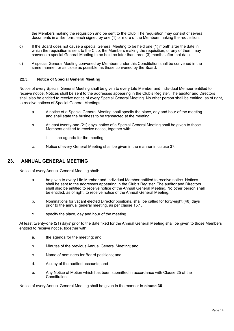the Members making the requisition and be sent to the Club. The requisition may consist of several documents in a like form, each signed by one (1) or more of the Members making the requisition.

- c) If the Board does not cause a special General Meeting to be held one (1) month after the date in which the requisition is sent to the Club, the Members making the requisition, or any of them, may convene a special General Meeting to be held no later than three (3) months after that date.
- d) A special General Meeting convened by Members under this Constitution shall be convened in the same manner, or as close as possible, as those convened by the Board.

#### **22.3. Notice of Special General Meeting**

Notice of every Special General Meeting shall be given to every Life Member and Individual Member entitled to receive notice. Notices shall be sent to the addresses appearing in the Club's Register. The auditor and Directors shall also be entitled to receive notice of every Special General Meeting. No other person shall be entitled, as of right, to receive notices of Special General Meetings.

- a. A notice of a Special General Meeting shall specify the place, day and hour of the meeting and shall state the business to be transacted at the meeting.
- b. At least twenty-one (21) days' notice of a Special General Meeting shall be given to those Members entitled to receive notice, together with:
	- i. the agenda for the meeting
- c. Notice of every General Meeting shall be given in the manner in clause 37.

#### **23. ANNUAL GENERAL MEETING**

Notice of every Annual General Meeting shall:

- a. be given to every Life Member and Individual Member entitled to receive notice. Notices shall be sent to the addresses appearing in the Club's Register. The auditor and Directors shall also be entitled to receive notice of the Annual General Meeting. No other person shall be entitled, as of right, to receive notice of the Annual General Meeting.
- b. Nominations for vacant elected Director positions, shall be called for forty-eight (48) days prior to the annual general meeting, as per clause 15.1.
- c. specify the place, day and hour of the meeting.

At least twenty-one (21) days' prior to the date fixed for the Annual General Meeting shall be given to those Members entitled to receive notice, together with:

- a. the agenda for the meeting; and
- b. Minutes of the previous Annual General Meeting; and
- c. Name of nominees for Board positions; and
- d. A copy of the audited accounts; and
- e. Any Notice of Motion which has been submitted in accordance with Clause 25 of the Constitution.

Notice of every Annual General Meeting shall be given in the manner in **clause 36**.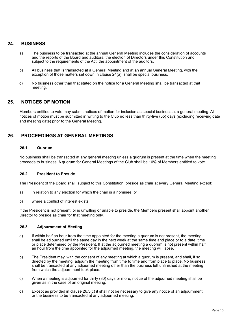# **24. BUSINESS**

- a) The business to be transacted at the annual General Meeting includes the consideration of accounts and the reports of the Board and auditors, the election of Directors under this Constitution and subject to the requirements of the Act, the appointment of the auditors.
- b) All business that is transacted at a General Meeting and at an annual General Meeting, with the exception of those matters set down in clause 24(a), shall be special business.
- c) No business other than that stated on the notice for a General Meeting shall be transacted at that meeting.

# **25. NOTICES OF MOTION**

Members entitled to vote may submit notices of motion for inclusion as special business at a general meeting. All notices of motion must be submitted in writing to the Club no less than thirty-five (35) days (excluding receiving date and meeting date) prior to the General Meeting.

# **26. PROCEEDINGS AT GENERAL MEETINGS**

#### **26.1. Quorum**

No business shall be transacted at any general meeting unless a quorum is present at the time when the meeting proceeds to business. A quorum for General Meetings of the Club shall be 10% of Members entitled to vote.

#### **26.2. President to Preside**

The President of the Board shall, subject to this Constitution, preside as chair at every General Meeting except:

- a) in relation to any election for which the chair is a nominee; or
- b) where a conflict of interest exists.

If the President is not present, or is unwilling or unable to preside, the Members present shall appoint another Director to preside as chair for that meeting only.

#### **26.3. Adjournment of Meeting**

- a) If within half an hour from the time appointed for the meeting a quorum is not present, the meeting shall be adjourned until the same day in the next week at the same time and place or to a date, time or place determined by the President. If at the adjourned meeting a quorum is not present within half an hour from the time appointed for the adjourned meeting, the meeting will lapse.
- b) The President may, with the consent of any meeting at which a quorum is present, and shall, if so directed by the meeting, adjourn the meeting from time to time and from place to place. No business shall be transacted at any adjourned meeting other than the business left unfinished at the meeting from which the adjournment took place.
- c) When a meeting is adjourned for thirty (30) days or more, notice of the adjourned meeting shall be given as in the case of an original meeting.
- d) Except as provided in clause 26.3(c) it shall not be necessary to give any notice of an adjournment or the business to be transacted at any adiourned meeting.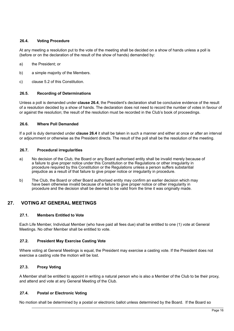#### **26.4. Voting Procedure**

At any meeting a resolution put to the vote of the meeting shall be decided on a show of hands unless a poll is (before or on the declaration of the result of the show of hands) demanded by:

- a) the President; or
- b) a simple majority of the Members.
- c) clause 5.2 of this Constitution.

#### **26.5. Recording of Determinations**

Unless a poll is demanded under **clause 26.4**, the President's declaration shall be conclusive evidence of the result of a resolution decided by a show of hands. The declaration does not need to record the number of votes in favour of or against the resolution; the result of the resolution must be recorded in the Club's book of proceedings.

#### **26.6. Where Poll Demanded**

If a poll is duly demanded under **clause 26.4** it shall be taken in such a manner and either at once or after an interval or adjournment or otherwise as the President directs. The result of the poll shall be the resolution of the meeting.

#### **26.7. Procedural irregularities**

- a) No decision of the Club, the Board or any Board authorised entity shall be invalid merely because of a failure to give proper notice under this Constitution or the Regulations or other irregularity in procedure required by this Constitution or the Regulations unless a person suffers substantial prejudice as a result of that failure to give proper notice or irregularity in procedure.
- b) The Club, the Board or other Board authorised entity may confirm an earlier decision which may have been otherwise invalid because of a failure to give proper notice or other irregularity in procedure and the decision shall be deemed to be valid from the time it was originally made.

# **27. VOTING AT GENERAL MEETINGS**

#### **27.1. Members Entitled to Vote**

Each Life Member, Individual Member (who have paid all fees due) shall be entitled to one (1) vote at General Meetings. No other Member shall be entitled to vote.

#### **27.2. President May Exercise Casting Vote**

Where voting at General Meetings is equal, the President may exercise a casting vote. If the President does not exercise a casting vote the motion will be lost.

#### **27.3. Proxy Voting**

A Member shall be entitled to appoint in writing a natural person who is also a Member of the Club to be their proxy, and attend and vote at any General Meeting of the Club.

#### **27.4. Postal or Electronic Voting**

No motion shall be determined by a postal or electronic ballot unless determined by the Board. If the Board so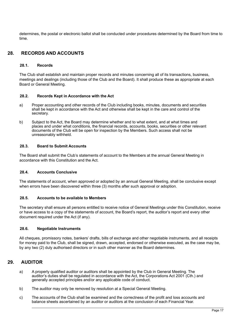determines, the postal or electronic ballot shall be conducted under procedures determined by the Board from time to time.

# **28. RECORDS AND ACCOUNTS**

#### **28.1. Records**

The Club shall establish and maintain proper records and minutes concerning all of its transactions, business, meetings and dealings (including those of the Club and the Board). It shall produce these as appropriate at each Board or General Meeting.

#### **28.2. Records Kept in Accordance with the Act**

- a) Proper accounting and other records of the Club including books, minutes, documents and securities shall be kept in accordance with the Act and otherwise shall be kept in the care and control of the secretary.
- b) Subject to the Act, the Board may determine whether and to what extent, and at what times and places and under what conditions, the financial records, accounts, books, securities or other relevant documents of the Club will be open for inspection by the Members. Such access shall not be unreasonably withheld.

#### **28.3. Board to Submit Accounts**

The Board shall submit the Club's statements of account to the Members at the annual General Meeting in accordance with this Constitution and the Act.

#### **28.4. Accounts Conclusive**

The statements of account, when approved or adopted by an annual General Meeting, shall be conclusive except when errors have been discovered within three (3) months after such approval or adoption.

#### **28.5. Accounts to be available to Members**

The secretary shall ensure all persons entitled to receive notice of General Meetings under this Constitution, receive or have access to a copy of the statements of account, the Board's report, the auditor's report and every other document required under the Act (if any).

#### **28.6. Negotiable Instruments**

All cheques, promissory notes, bankers' drafts, bills of exchange and other negotiable instruments, and all receipts for money paid to the Club, shall be signed, drawn, accepted, endorsed or otherwise executed, as the case may be, by any two (2) duly authorised directors or in such other manner as the Board determines.

# **29. AUDITOR**

- a) A properly qualified auditor or auditors shall be appointed by the Club in General Meeting. The auditor's duties shall be regulated in accordance with the Act, the Corporations Act 2001 (Cth.) and generally accepted principles and/or any applicable code of conduct.
- b) The auditor may only be removed by resolution at a Special General Meeting.
- c) The accounts of the Club shall be examined and the correctness of the profit and loss accounts and balance sheets ascertained by an auditor or auditors at the conclusion of each Financial Year.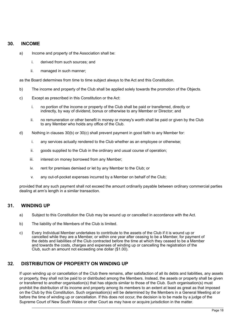#### **30. INCOME**

- a) Income and property of the Association shall be:
	- i. derived from such sources; and
	- ii. managed in such manner;

as the Board determines from time to time subject always to the Act and this Constitution.

- b) The income and property of the Club shall be applied solely towards the promotion of the Objects.
- c) Except as prescribed in this Constitution or the Act:
	- i. no portion of the income or property of the Club shall be paid or transferred, directly or indirectly, by way of dividend, bonus or otherwise to any Member or Director; and
	- ii. no remuneration or other benefit in money or money's worth shall be paid or given by the Club to any Member who holds any office of the Club.
- d) Nothing in clauses 30(b) or 30(c) shall prevent payment in good faith to any Member for:
	- i. any services actually rendered to the Club whether as an employee or otherwise;
	- ii. goods supplied to the Club in the ordinary and usual course of operation;
	- iii. interest on money borrowed from any Member:
	- iv. rent for premises demised or let by any Member to the Club; or
	- v. any out-of-pocket expenses incurred by a Member on behalf of the Club;

provided that any such payment shall not exceed the amount ordinarily payable between ordinary commercial parties dealing at arm's length in a similar transaction.

#### **31. WINDING UP**

- a) Subject to this Constitution the Club may be wound up or cancelled in accordance with the Act.
- b) The liability of the Members of the Club is limited.
- c) Every Individual Member undertakes to contribute to the assets of the Club if it is wound up or cancelled while they are a Member, or within one year after ceasing to be a Member, for payment of the debts and liabilities of the Club contracted before the time at which they ceased to be a Member and towards the costs, charges and expenses of winding up or cancelling the registration of the Club, such an amount not exceeding one dollar (\$1.00).

# **32. DISTRIBUTION OF PROPERTY ON WINDING UP**

If upon winding up or cancellation of the Club there remains, after satisfaction of all its debts and liabilities, any assets or property, they shall not be paid to or distributed among the Members. Instead, the assets or property shall be given or transferred to another organisation(s) that has objects similar to those of the Club. Such organisation(s) must prohibit the distribution of its income and property among its members to an extent at least as great as that imposed on the Club by this Constitution. Such organisation(s) will be determined by the Members in a General Meeting at or before the time of winding up or cancellation. If this does not occur, the decision is to be made by a judge of the Supreme Court of New South Wales or other Court as may have or acquire jurisdiction in the matter.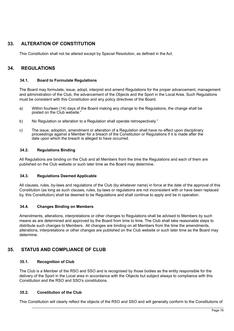# **33. ALTERATION OF CONSTITUTION**

This Constitution shall not be altered except by Special Resolution, as defined in the Act.

# **34. REGULATIONS**

#### **34.1. Board to Formulate Regulations**

The Board may formulate, issue, adopt, interpret and amend Regulations for the proper advancement, management and administration of the Club, the advancement of the Objects and the Sport in the Local Area. Such Regulations must be consistent with this Constitution and any policy directives of the Board.

- a) Within fourteen (14) days of the Board making any change to the Regulations, the change shall be posted on the Club website."
- b) No Regulation or alteration to a Regulation shall operate retrospectively."
- c) The issue, adoption, amendment or alteration of a Regulation shall have no effect upon disciplinary proceedings against a Member for a breach of the Constitution or Regulations if it is made after the date upon which the breach is alleged to have occurred.

#### **34.2. Regulations Binding**

All Regulations are binding on the Club and all Members from the time the Regulations and each of them are published on the Club website or such later time as the Board may determine.

#### **34.3. Regulations Deemed Applicable**

All clauses, rules, by-laws and regulations of the Club (by whatever name) in force at the date of the approval of this Constitution (as long as such clauses, rules, by-laws or regulations are not inconsistent with or have been replaced by, this Constitution) shall be deemed to be Regulations and shall continue to apply and be in operation.

#### **34.4. Changes Binding on Members**

Amendments, alterations, interpretations or other changes to Regulations shall be advised to Members by such means as are determined and approved by the Board from time to time. The Club shall take reasonable steps to distribute such changes to Members. All changes are binding on all Members from the time the amendments, alterations, interpretations or other changes are published on the Club website or such later time as the Board may determine.

# **35. STATUS AND COMPLIANCE OF CLUB**

#### **35.1. Recognition of Club**

The Club is a Member of the RSO and SSO and is recognised by those bodies as the entity responsible for the delivery of the Sport in the Local area in accordance with the Objects but subject always to compliance with this Constitution and the RSO and SSO's constitutions.

#### **35.2. Constitution of the Club**

This Constitution will clearly reflect the objects of the RSO and SSO and will generally conform to the Constitutions of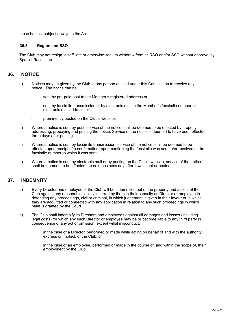those bodies, subject always to the Act.

#### **35.3. Region and SSO**

The Club may not resign, disaffiliate or otherwise seek to withdraw from its RSO and/or SSO without approval by Special Resolution.

### **36. NOTICE**

- a) Notices may be given by the Club to any person entitled under this Constitution to receive any notice. The notice can be:
	- i. sent by pre-paid post to the Member's registered address or;
	- ii. sent by facsimile transmission or by electronic mail to the Member's facsimile number or electronic mail address; or
	- iii. prominently posted on the Club's website.
- b) Where a notice is sent by post, service of the notice shall be deemed to be effected by properly addressing, prepaying and posting the notice. Service of the notice is deemed to have been effected three days after posting.
- c) Where a notice is sent by facsimile transmission, service of the notice shall be deemed to be effected upon receipt of a confirmation report confirming the facsimile was sent to/or received at the facsimile number to which it was sent.
- d) Where a notice is sent by electronic mail or by posting on the Club's website, service of the notice shall be deemed to be effected the next business day after it was sent or posted.

#### **37. INDEMNITY**

- a) Every Director and employee of the Club will be indemnified out of the property and assets of the Club against any reasonable liability incurred by them in their capacity as Director or employee in defending any proceedings, civil or criminal, in which judgement is given in their favour or in which they are acquitted or connected with any application in relation to any such proceedings in which relief is granted by the Court.
- b) The Club shall indemnify its Directors and employees against all damages and losses (including legal costs) for which any such Director or employee may be or become liable to any third party in consequence of any act or omission, except wilful misconduct:
	- i. in the case of a Director, performed or made while acting on behalf of and with the authority, express or implied, of the Club; or
	- ii. in the case of an employee, performed or made in the course of, and within the scope of, their employment by the Club.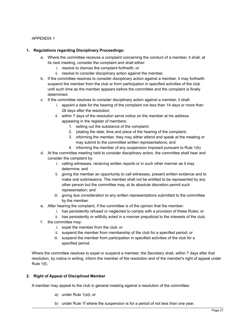#### APPENDIX 1

#### **1. Regulations regarding Disciplinary Proceedings:**

- a. Where the committee receives a complaint concerning the conduct of a member, it shall, at its next meeting, consider the complaint and shall either:
	- i. resolve to dismiss the complaint forthwith; or
	- ii. resolve to consider disciplinary action against the member.
- b. If the committee resolves to consider disciplinary action against a member, it may forthwith suspend the member from the club or from participation in specified activities of the club until such time as the member appears before the committee and the complaint is finally determined.
- c. If the committee resolves to consider disciplinary action against a member, it shall:
	- i. appoint a date for the hearing of the complaint not less than 14 days or more than 28 days after the resolution;
	- ii. within 7 days of the resolution serve notice on the member at his address appearing in the register of members:
		- 1. setting out the substance of the complaint;
		- 2. (stating the date, time and place of the hearing of the complaint;
		- 3. informing the member, they may either attend and speak at the meeting or may submit to the committee written representations; and
		- 4. informing the member of any suspension imposed pursuant to Rule 1(b)
- d. At the committee meeting held to consider disciplinary action, the committee shall hear and consider the complaint by:
	- i. calling witnesses, receiving written reports or in such other manner as it may determine; and
	- ii. giving the member an opportunity to call witnesses, present written evidence and to make oral submissions. The member shall not be entitled to be represented by any other person but the committee may, at its absolute discretion permit such representation; and
	- iii. giving due consideration to any written representations submitted to the committee by the member.
- e. After hearing the complaint, if the committee is of the opinion that the member:
	- i. has persistently refused or neglected to comply with a provision of these Rules; or
	- ii. has persistently or willfully acted in a manner prejudicial to the interests of the club;
- f. the committee may:
	- i. expel the member from the club; or
	- ii. suspend the member from membership of the club for a specified period; or
	- iii. suspend the member from participation in specified activities of the club for a specified period.

Where the committee resolves to expel or suspend a member, the Secretary shall, within 7 days after that resolution, by notice in writing, inform the member of the resolution and of the member's right of appeal under Rule 1(f).

#### **2. Right of Appeal of Disciplined Member**

A member may appeal to the club in general meeting against a resolution of the committee:

- a) under Rule 1(a)i; or
- b) under Rule 1f where the suspension is for a period of not less than one year.